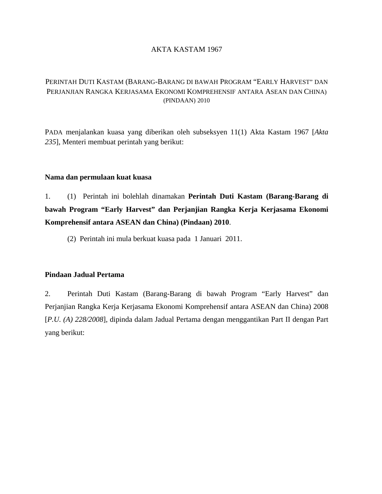## AKTA KASTAM 1967

# PERINTAH DUTI KASTAM (BARANG-BARANG DI BAWAH PROGRAM "EARLY HARVEST" DAN PERJANJIAN RANGKA KERJASAMA EKONOMI KOMPREHENSIF ANTARA ASEAN DAN CHINA) (PINDAAN) 2010

PADA menjalankan kuasa yang diberikan oleh subseksyen 11(1) Akta Kastam 1967 [*Akta 235*], Menteri membuat perintah yang berikut:

#### **Nama dan permulaan kuat kuasa**

1. (1) Perintah ini bolehlah dinamakan **Perintah Duti Kastam (Barang-Barang di bawah Program "Early Harvest" dan Perjanjian Rangka Kerja Kerjasama Ekonomi Komprehensif antara ASEAN dan China) (Pindaan) 2010**.

(2) Perintah ini mula berkuat kuasa pada 1 Januari 2011.

## **Pindaan Jadual Pertama**

2. Perintah Duti Kastam (Barang-Barang di bawah Program "Early Harvest" dan Perjanjian Rangka Kerja Kerjasama Ekonomi Komprehensif antara ASEAN dan China) 2008 [*P.U. (A) 228/2008*], dipinda dalam Jadual Pertama dengan menggantikan Part II dengan Part yang berikut: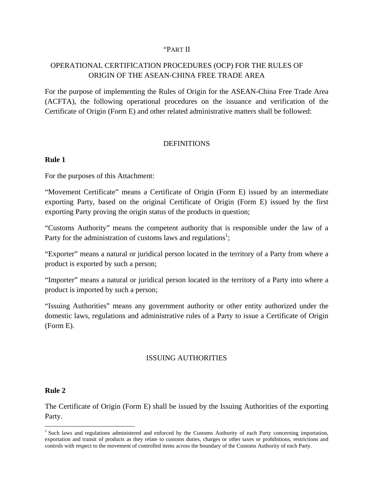#### "PART II

# OPERATIONAL CERTIFICATION PROCEDURES (OCP) FOR THE RULES OF ORIGIN OF THE ASEAN-CHINA FREE TRADE AREA

For the purpose of implementing the Rules of Origin for the ASEAN-China Free Trade Area (ACFTA), the following operational procedures on the issuance and verification of the Certificate of Origin (Form E) and other related administrative matters shall be followed:

## **DEFINITIONS**

## **Rule 1**

For the purposes of this Attachment:

"Movement Certificate" means a Certificate of Origin (Form E) issued by an intermediate exporting Party, based on the original Certificate of Origin (Form E) issued by the first exporting Party proving the origin status of the products in question;

"Customs Authority" means the competent authority that is responsible under the law of a Party for the administration of customs laws and regulations<sup>1</sup>;

"Exporter" means a natural or juridical person located in the territory of a Party from where a product is exported by such a person;

"Importer" means a natural or juridical person located in the territory of a Party into where a product is imported by such a person;

"Issuing Authorities" means any government authority or other entity authorized under the domestic laws, regulations and administrative rules of a Party to issue a Certificate of Origin (Form E).

## ISSUING AUTHORITIES

#### **Rule 2**

The Certificate of Origin (Form E) shall be issued by the Issuing Authorities of the exporting Party.

<sup>&</sup>lt;sup>1</sup> Such laws and regulations administered and enforced by the Customs Authority of each Party concerning importation, exportation and transit of products as they relate to customs duties, charges or other taxes or prohibitions, restrictions and controls with respect to the movement of controlled items across the boundary of the Customs Authority of each Party.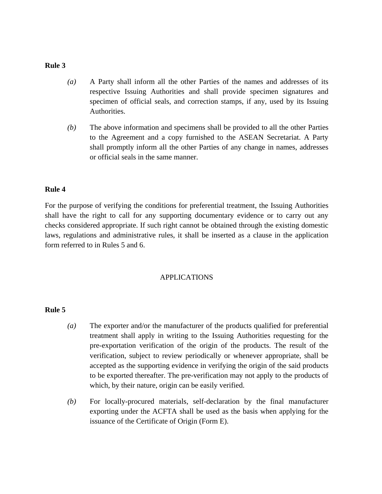- *(a)* A Party shall inform all the other Parties of the names and addresses of its respective Issuing Authorities and shall provide specimen signatures and specimen of official seals, and correction stamps, if any, used by its Issuing Authorities.
- *(b)* The above information and specimens shall be provided to all the other Parties to the Agreement and a copy furnished to the ASEAN Secretariat. A Party shall promptly inform all the other Parties of any change in names, addresses or official seals in the same manner.

#### **Rule 4**

For the purpose of verifying the conditions for preferential treatment, the Issuing Authorities shall have the right to call for any supporting documentary evidence or to carry out any checks considered appropriate. If such right cannot be obtained through the existing domestic laws, regulations and administrative rules, it shall be inserted as a clause in the application form referred to in Rules 5 and 6.

#### APPLICATIONS

- *(a)* The exporter and/or the manufacturer of the products qualified for preferential treatment shall apply in writing to the Issuing Authorities requesting for the pre-exportation verification of the origin of the products. The result of the verification, subject to review periodically or whenever appropriate, shall be accepted as the supporting evidence in verifying the origin of the said products to be exported thereafter. The pre-verification may not apply to the products of which, by their nature, origin can be easily verified.
- *(b)* For locally-procured materials, self-declaration by the final manufacturer exporting under the ACFTA shall be used as the basis when applying for the issuance of the Certificate of Origin (Form E).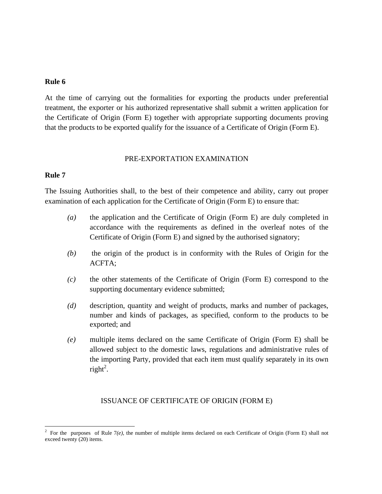At the time of carrying out the formalities for exporting the products under preferential treatment, the exporter or his authorized representative shall submit a written application for the Certificate of Origin (Form E) together with appropriate supporting documents proving that the products to be exported qualify for the issuance of a Certificate of Origin (Form E).

#### PRE-EXPORTATION EXAMINATION

#### **Rule 7**

The Issuing Authorities shall, to the best of their competence and ability, carry out proper examination of each application for the Certificate of Origin (Form E) to ensure that:

- *(a)* the application and the Certificate of Origin (Form E) are duly completed in accordance with the requirements as defined in the overleaf notes of the Certificate of Origin (Form E) and signed by the authorised signatory;
- *(b)* the origin of the product is in conformity with the Rules of Origin for the ACFTA;
- *(c)* the other statements of the Certificate of Origin (Form E) correspond to the supporting documentary evidence submitted;
- *(d)* description, quantity and weight of products, marks and number of packages, number and kinds of packages, as specified, conform to the products to be exported; and
- *(e)* multiple items declared on the same Certificate of Origin (Form E) shall be allowed subject to the domestic laws, regulations and administrative rules of the importing Party, provided that each item must qualify separately in its own  $right<sup>2</sup>$ .

#### ISSUANCE OF CERTIFICATE OF ORIGIN (FORM E)

<sup>&</sup>lt;sup>2</sup> For the purposes of Rule  $7(e)$ , the number of multiple items declared on each Certificate of Origin (Form E) shall not exceed twenty (20) items.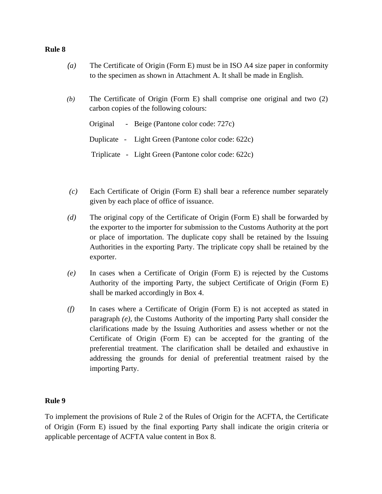- *(a)* The Certificate of Origin (Form E) must be in ISO A4 size paper in conformity to the specimen as shown in Attachment A. It shall be made in English.
- *(b)* The Certificate of Origin (Form E) shall comprise one original and two (2) carbon copies of the following colours:

Original - Beige (Pantone color code: 727c) Duplicate - Light Green (Pantone color code: 622c) Triplicate - Light Green (Pantone color code: 622c)

- *(c)* Each Certificate of Origin (Form E) shall bear a reference number separately given by each place of office of issuance.
- *(d)* The original copy of the Certificate of Origin (Form E) shall be forwarded by the exporter to the importer for submission to the Customs Authority at the port or place of importation. The duplicate copy shall be retained by the Issuing Authorities in the exporting Party. The triplicate copy shall be retained by the exporter.
- *(e)* In cases when a Certificate of Origin (Form E) is rejected by the Customs Authority of the importing Party, the subject Certificate of Origin (Form E) shall be marked accordingly in Box 4.
- *(f)* In cases where a Certificate of Origin (Form E) is not accepted as stated in paragraph *(e)*, the Customs Authority of the importing Party shall consider the clarifications made by the Issuing Authorities and assess whether or not the Certificate of Origin (Form E) can be accepted for the granting of the preferential treatment. The clarification shall be detailed and exhaustive in addressing the grounds for denial of preferential treatment raised by the importing Party.

## **Rule 9**

To implement the provisions of Rule 2 of the Rules of Origin for the ACFTA, the Certificate of Origin (Form E) issued by the final exporting Party shall indicate the origin criteria or applicable percentage of ACFTA value content in Box 8.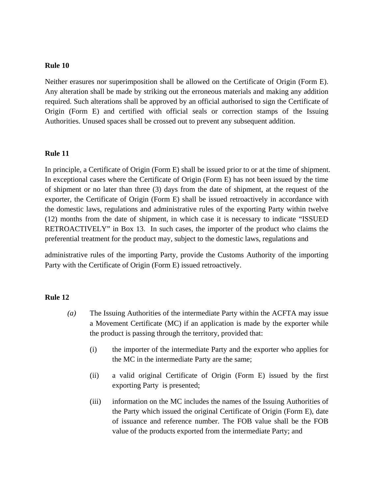Neither erasures nor superimposition shall be allowed on the Certificate of Origin (Form E). Any alteration shall be made by striking out the erroneous materials and making any addition required. Such alterations shall be approved by an official authorised to sign the Certificate of Origin (Form E) and certified with official seals or correction stamps of the Issuing Authorities. Unused spaces shall be crossed out to prevent any subsequent addition.

#### **Rule 11**

In principle, a Certificate of Origin (Form E) shall be issued prior to or at the time of shipment. In exceptional cases where the Certificate of Origin (Form E) has not been issued by the time of shipment or no later than three (3) days from the date of shipment, at the request of the exporter, the Certificate of Origin (Form E) shall be issued retroactively in accordance with the domestic laws, regulations and administrative rules of the exporting Party within twelve (12) months from the date of shipment, in which case it is necessary to indicate "ISSUED RETROACTIVELY" in Box 13. In such cases, the importer of the product who claims the preferential treatment for the product may, subject to the domestic laws, regulations and

administrative rules of the importing Party, provide the Customs Authority of the importing Party with the Certificate of Origin (Form E) issued retroactively.

- *(a)* The Issuing Authorities of the intermediate Party within the ACFTA may issue a Movement Certificate (MC) if an application is made by the exporter while the product is passing through the territory, provided that:
	- (i) the importer of the intermediate Party and the exporter who applies for the MC in the intermediate Party are the same;
	- (ii) a valid original Certificate of Origin (Form E) issued by the first exporting Party is presented;
	- (iii) information on the MC includes the names of the Issuing Authorities of the Party which issued the original Certificate of Origin (Form E), date of issuance and reference number. The FOB value shall be the FOB value of the products exported from the intermediate Party; and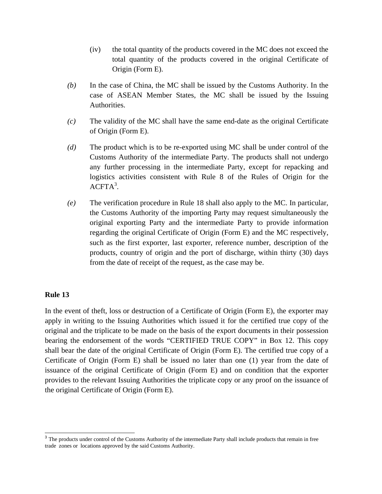- (iv) the total quantity of the products covered in the MC does not exceed the total quantity of the products covered in the original Certificate of Origin (Form E).
- *(b)* In the case of China, the MC shall be issued by the Customs Authority. In the case of ASEAN Member States, the MC shall be issued by the Issuing Authorities.
- *(c)*The validity of the MC shall have the same end-date as the original Certificate of Origin (Form E).
- *(d)* The product which is to be re-exported using MC shall be under control of the Customs Authority of the intermediate Party. The products shall not undergo any further processing in the intermediate Party, except for repacking and logistics activities consistent with Rule 8 of the Rules of Origin for the  $ACFTA^3$ .
- *(e)* The verification procedure in Rule 18 shall also apply to the MC. In particular, the Customs Authority of the importing Party may request simultaneously the original exporting Party and the intermediate Party to provide information regarding the original Certificate of Origin (Form E) and the MC respectively, such as the first exporter, last exporter, reference number, description of the products, country of origin and the port of discharge, within thirty (30) days from the date of receipt of the request, as the case may be.

<u> 1980 - Andrea Andrew Maria (h. 1980).</u><br>1980 - Andrew Maria (h. 1980).

In the event of theft, loss or destruction of a Certificate of Origin (Form E), the exporter may apply in writing to the Issuing Authorities which issued it for the certified true copy of the original and the triplicate to be made on the basis of the export documents in their possession bearing the endorsement of the words "CERTIFIED TRUE COPY" in Box 12. This copy shall bear the date of the original Certificate of Origin (Form E). The certified true copy of a Certificate of Origin (Form E) shall be issued no later than one (1) year from the date of issuance of the original Certificate of Origin (Form E) and on condition that the exporter provides to the relevant Issuing Authorities the triplicate copy or any proof on the issuance of the original Certificate of Origin (Form E).

 $3$  The products under control of the Customs Authority of the intermediate Party shall include products that remain in free trade zones or locations approved by the said Customs Authority.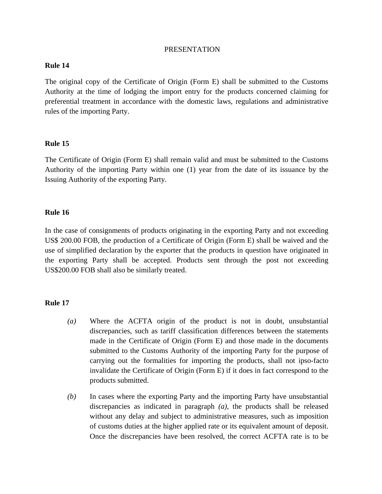#### PRESENTATION

## **Rule 14**

The original copy of the Certificate of Origin (Form E) shall be submitted to the Customs Authority at the time of lodging the import entry for the products concerned claiming for preferential treatment in accordance with the domestic laws, regulations and administrative rules of the importing Party.

## **Rule 15**

The Certificate of Origin (Form E) shall remain valid and must be submitted to the Customs Authority of the importing Party within one (1) year from the date of its issuance by the Issuing Authority of the exporting Party.

## **Rule 16**

In the case of consignments of products originating in the exporting Party and not exceeding US\$ 200.00 FOB, the production of a Certificate of Origin (Form E) shall be waived and the use of simplified declaration by the exporter that the products in question have originated in the exporting Party shall be accepted. Products sent through the post not exceeding US\$200.00 FOB shall also be similarly treated.

- *(a)* Where the ACFTA origin of the product is not in doubt, unsubstantial discrepancies, such as tariff classification differences between the statements made in the Certificate of Origin (Form E) and those made in the documents submitted to the Customs Authority of the importing Party for the purpose of carrying out the formalities for importing the products, shall not ipso-facto invalidate the Certificate of Origin (Form E) if it does in fact correspond to the products submitted.
- *(b)* In cases where the exporting Party and the importing Party have unsubstantial discrepancies as indicated in paragraph *(a)*, the products shall be released without any delay and subject to administrative measures, such as imposition of customs duties at the higher applied rate or its equivalent amount of deposit. Once the discrepancies have been resolved, the correct ACFTA rate is to be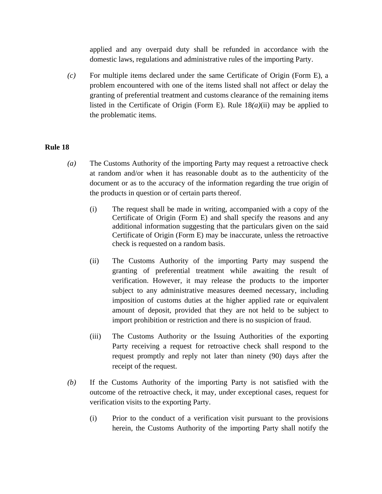applied and any overpaid duty shall be refunded in accordance with the domestic laws, regulations and administrative rules of the importing Party.

*(c)* For multiple items declared under the same Certificate of Origin (Form E), a problem encountered with one of the items listed shall not affect or delay the granting of preferential treatment and customs clearance of the remaining items listed in the Certificate of Origin (Form E). Rule 18*(a)*(ii) may be applied to the problematic items.

- *(a)* The Customs Authority of the importing Party may request a retroactive check at random and/or when it has reasonable doubt as to the authenticity of the document or as to the accuracy of the information regarding the true origin of the products in question or of certain parts thereof.
	- (i) The request shall be made in writing, accompanied with a copy of the Certificate of Origin (Form E) and shall specify the reasons and any additional information suggesting that the particulars given on the said Certificate of Origin (Form E) may be inaccurate, unless the retroactive check is requested on a random basis.
	- (ii) The Customs Authority of the importing Party may suspend the granting of preferential treatment while awaiting the result of verification. However, it may release the products to the importer subject to any administrative measures deemed necessary, including imposition of customs duties at the higher applied rate or equivalent amount of deposit, provided that they are not held to be subject to import prohibition or restriction and there is no suspicion of fraud.
	- (iii) The Customs Authority or the Issuing Authorities of the exporting Party receiving a request for retroactive check shall respond to the request promptly and reply not later than ninety (90) days after the receipt of the request.
- *(b)* If the Customs Authority of the importing Party is not satisfied with the outcome of the retroactive check, it may, under exceptional cases, request for verification visits to the exporting Party.
	- (i) Prior to the conduct of a verification visit pursuant to the provisions herein, the Customs Authority of the importing Party shall notify the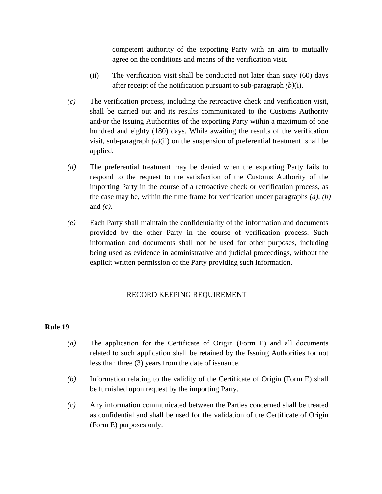competent authority of the exporting Party with an aim to mutually agree on the conditions and means of the verification visit.

- (ii) The verification visit shall be conducted not later than sixty (60) days after receipt of the notification pursuant to sub-paragraph *(b)*(i).
- *(c)* The verification process, including the retroactive check and verification visit, shall be carried out and its results communicated to the Customs Authority and/or the Issuing Authorities of the exporting Party within a maximum of one hundred and eighty (180) days. While awaiting the results of the verification visit, sub-paragraph  $(a)$ (ii) on the suspension of preferential treatment shall be applied.
- *(d)* The preferential treatment may be denied when the exporting Party fails to respond to the request to the satisfaction of the Customs Authority of the importing Party in the course of a retroactive check or verification process, as the case may be, within the time frame for verification under paragraphs *(a)*, *(b)* and *(c).*
- *(e)* Each Party shall maintain the confidentiality of the information and documents provided by the other Party in the course of verification process. Such information and documents shall not be used for other purposes, including being used as evidence in administrative and judicial proceedings, without the explicit written permission of the Party providing such information.

## RECORD KEEPING REQUIREMENT

- *(a)* The application for the Certificate of Origin (Form E) and all documents related to such application shall be retained by the Issuing Authorities for not less than three (3) years from the date of issuance.
- *(b)* Information relating to the validity of the Certificate of Origin (Form E) shall be furnished upon request by the importing Party.
- *(c)* Any information communicated between the Parties concerned shall be treated as confidential and shall be used for the validation of the Certificate of Origin (Form E) purposes only.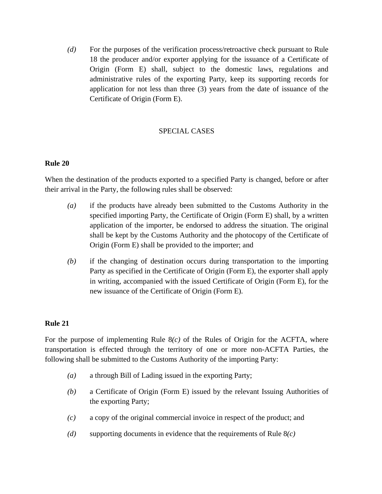*(d)* For the purposes of the verification process/retroactive check pursuant to Rule 18 the producer and/or exporter applying for the issuance of a Certificate of Origin (Form E) shall, subject to the domestic laws, regulations and administrative rules of the exporting Party, keep its supporting records for application for not less than three (3) years from the date of issuance of the Certificate of Origin (Form E).

# SPECIAL CASES

#### **Rule 20**

When the destination of the products exported to a specified Party is changed, before or after their arrival in the Party, the following rules shall be observed:

- *(a)* if the products have already been submitted to the Customs Authority in the specified importing Party, the Certificate of Origin (Form E) shall, by a written application of the importer, be endorsed to address the situation. The original shall be kept by the Customs Authority and the photocopy of the Certificate of Origin (Form E) shall be provided to the importer; and
- *(b)* if the changing of destination occurs during transportation to the importing Party as specified in the Certificate of Origin (Form E), the exporter shall apply in writing, accompanied with the issued Certificate of Origin (Form E), for the new issuance of the Certificate of Origin (Form E).

## **Rule 21**

For the purpose of implementing Rule 8*(c)* of the Rules of Origin for the ACFTA, where transportation is effected through the territory of one or more non-ACFTA Parties, the following shall be submitted to the Customs Authority of the importing Party:

- *(a)* a through Bill of Lading issued in the exporting Party;
- *(b)* a Certificate of Origin (Form E) issued by the relevant Issuing Authorities of the exporting Party;
- *(c)* a copy of the original commercial invoice in respect of the product; and
- *(d)* supporting documents in evidence that the requirements of Rule 8*(c)*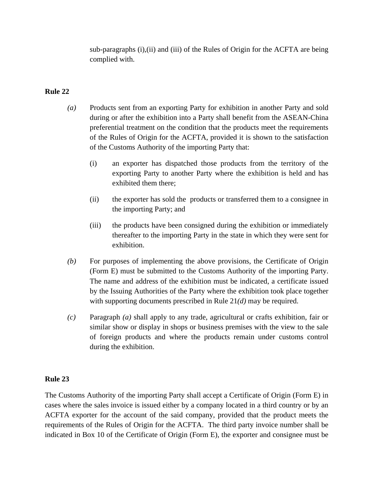sub-paragraphs (i),(ii) and (iii) of the Rules of Origin for the ACFTA are being complied with.

## **Rule 22**

- *(a)* Products sent from an exporting Party for exhibition in another Party and sold during or after the exhibition into a Party shall benefit from the ASEAN-China preferential treatment on the condition that the products meet the requirements of the Rules of Origin for the ACFTA, provided it is shown to the satisfaction of the Customs Authority of the importing Party that:
	- (i) an exporter has dispatched those products from the territory of the exporting Party to another Party where the exhibition is held and has exhibited them there;
	- (ii) the exporter has sold the products or transferred them to a consignee in the importing Party; and
	- (iii) the products have been consigned during the exhibition or immediately thereafter to the importing Party in the state in which they were sent for exhibition.
- *(b)* For purposes of implementing the above provisions, the Certificate of Origin (Form E) must be submitted to the Customs Authority of the importing Party. The name and address of the exhibition must be indicated, a certificate issued by the Issuing Authorities of the Party where the exhibition took place together with supporting documents prescribed in Rule 21*(d)* may be required.
- *(c)* Paragraph *(a)* shall apply to any trade, agricultural or crafts exhibition, fair or similar show or display in shops or business premises with the view to the sale of foreign products and where the products remain under customs control during the exhibition.

## **Rule 23**

The Customs Authority of the importing Party shall accept a Certificate of Origin (Form E) in cases where the sales invoice is issued either by a company located in a third country or by an ACFTA exporter for the account of the said company, provided that the product meets the requirements of the Rules of Origin for the ACFTA. The third party invoice number shall be indicated in Box 10 of the Certificate of Origin (Form E)*,* the exporter and consignee must be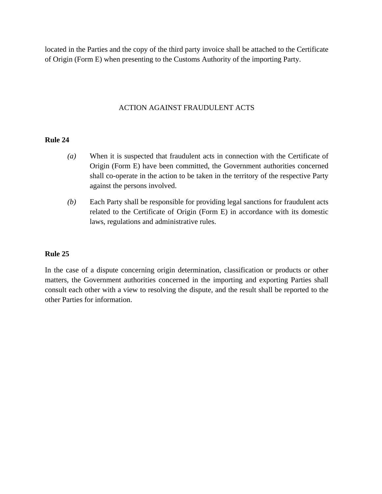located in the Parties and the copy of the third party invoice shall be attached to the Certificate of Origin (Form E) when presenting to the Customs Authority of the importing Party.

## ACTION AGAINST FRAUDULENT ACTS

## **Rule 24**

- *(a)* When it is suspected that fraudulent acts in connection with the Certificate of Origin (Form E) have been committed, the Government authorities concerned shall co-operate in the action to be taken in the territory of the respective Party against the persons involved.
- *(b)* Each Party shall be responsible for providing legal sanctions for fraudulent acts related to the Certificate of Origin (Form E) in accordance with its domestic laws, regulations and administrative rules.

## **Rule 25**

In the case of a dispute concerning origin determination, classification or products or other matters, the Government authorities concerned in the importing and exporting Parties shall consult each other with a view to resolving the dispute, and the result shall be reported to the other Parties for information.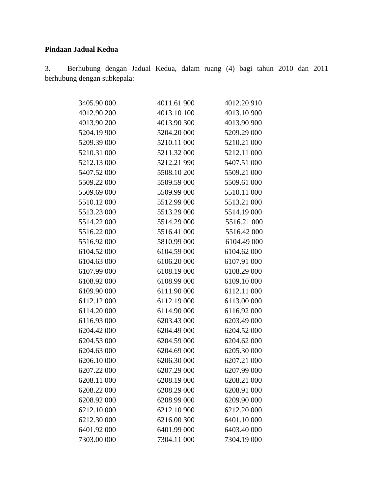# **Pindaan Jadual Kedua**

3. Berhubung dengan Jadual Kedua, dalam ruang (4) bagi tahun 2010 dan 2011 berhubung dengan subkepala:

| 3405.90 000 | 4011.61 900 | 4012.20 910 |
|-------------|-------------|-------------|
| 4012.90 200 | 4013.10 100 | 4013.10 900 |
| 4013.90 200 | 4013.90 300 | 4013.90 900 |
| 5204.19 900 | 5204.20 000 | 5209.29 000 |
| 5209.39 000 | 5210.11 000 | 5210.21 000 |
| 5210.31 000 | 5211.32 000 | 5212.11 000 |
| 5212.13 000 | 5212.21990  | 5407.51 000 |
| 5407.52 000 | 5508.10 200 | 5509.21 000 |
| 5509.22 000 | 5509.59 000 | 5509.61 000 |
| 5509.69 000 | 5509.99 000 | 5510.11 000 |
| 5510.12 000 | 5512.99 000 | 5513.21 000 |
| 5513.23 000 | 5513.29 000 | 5514.19 000 |
| 5514.22 000 | 5514.29 000 | 5516.21 000 |
| 5516.22 000 | 5516.41 000 | 5516.42 000 |
| 5516.92 000 | 5810.99 000 | 6104.49 000 |
| 6104.52 000 | 6104.59 000 | 6104.62 000 |
| 6104.63 000 | 6106.20 000 | 6107.91 000 |
| 6107.99 000 | 6108.19 000 | 6108.29 000 |
| 6108.92 000 | 6108.99 000 | 6109.10 000 |
| 6109.90 000 | 6111.90 000 | 6112.11 000 |
| 6112.12 000 | 6112.19 000 | 6113.00 000 |
| 6114.20 000 | 6114.90 000 | 6116.92 000 |
| 6116.93 000 | 6203.43 000 | 6203.49 000 |
| 6204.42 000 | 6204.49 000 | 6204.52 000 |
| 6204.53 000 | 6204.59 000 | 6204.62 000 |
| 6204.63 000 | 6204.69 000 | 6205.30 000 |
| 6206.10 000 | 6206.30 000 | 6207.21 000 |
| 6207.22 000 | 6207.29 000 | 6207.99 000 |
| 6208.11 000 | 6208.19 000 | 6208.21 000 |
| 6208.22 000 | 6208.29 000 | 6208.91 000 |
| 6208.92 000 | 6208.99 000 | 6209.90 000 |
| 6212.10 000 | 6212.10 900 | 6212.20 000 |
| 6212.30 000 | 6216.00 300 | 6401.10 000 |
| 6401.92 000 | 6401.99 000 | 6403.40 000 |
| 7303.00 000 | 7304.11 000 | 7304.19 000 |